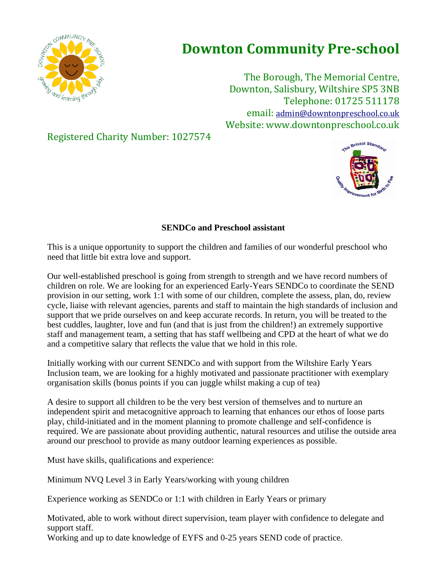

## **Downton Community Pre-school**

The Borough, The Memorial Centre, Downton, Salisbury, Wiltshire SP5 3NB Telephone: 01725 511178 email: [admin@downtonpreschool.co.uk](mailto:admin@downtonpreschool.co.uk) Website: www.downtonpreschool.co.uk

Registered Charity Number: 1027574



## **SENDCo and Preschool assistant**

This is a unique opportunity to support the children and families of our wonderful preschool who need that little bit extra love and support.

Our well-established preschool is going from strength to strength and we have record numbers of children on role. We are looking for an experienced Early-Years SENDCo to coordinate the SEND provision in our setting, work 1:1 with some of our children, complete the assess, plan, do, review cycle, liaise with relevant agencies, parents and staff to maintain the high standards of inclusion and support that we pride ourselves on and keep accurate records. In return, you will be treated to the best cuddles, laughter, love and fun (and that is just from the children!) an extremely supportive staff and management team, a setting that has staff wellbeing and CPD at the heart of what we do and a competitive salary that reflects the value that we hold in this role.

Initially working with our current SENDCo and with support from the Wiltshire Early Years Inclusion team, we are looking for a highly motivated and passionate practitioner with exemplary organisation skills (bonus points if you can juggle whilst making a cup of tea)

A desire to support all children to be the very best version of themselves and to nurture an independent spirit and metacognitive approach to learning that enhances our ethos of loose parts play, child-initiated and in the moment planning to promote challenge and self-confidence is required. We are passionate about providing authentic, natural resources and utilise the outside area around our preschool to provide as many outdoor learning experiences as possible.

Must have skills, qualifications and experience:

Minimum NVQ Level 3 in Early Years/working with young children

Experience working as SENDCo or 1:1 with children in Early Years or primary

Motivated, able to work without direct supervision, team player with confidence to delegate and support staff.

Working and up to date knowledge of EYFS and 0-25 years SEND code of practice.